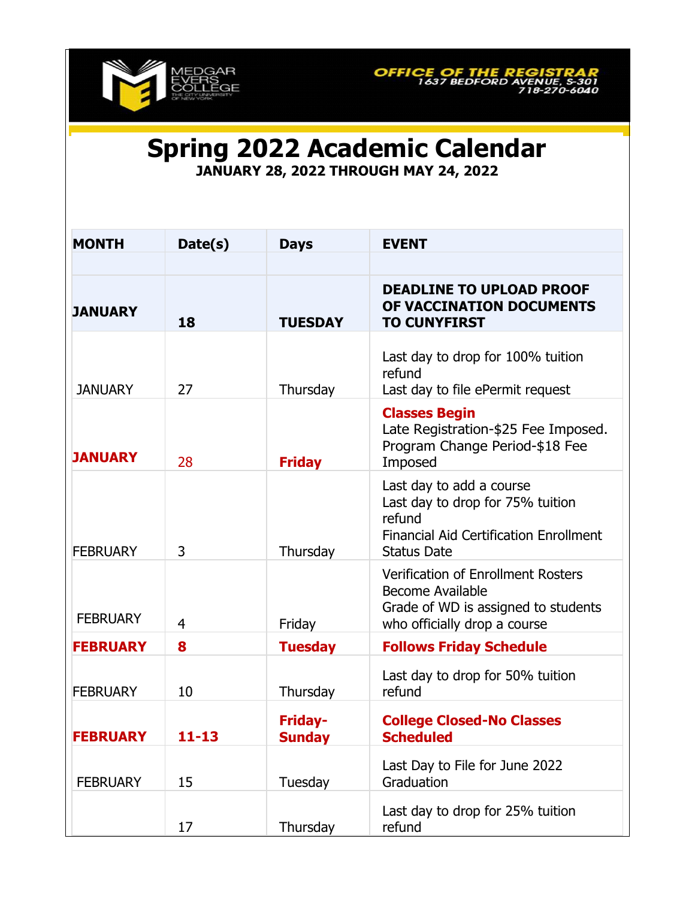



**Spring 2022 Academic Calendar**

**JANUARY 28, 2022 THROUGH MAY 24, 2022**

| <b>MONTH</b>    | Date(s)   | <b>Days</b>              | <b>EVENT</b>                                                                                                                                  |
|-----------------|-----------|--------------------------|-----------------------------------------------------------------------------------------------------------------------------------------------|
|                 |           |                          |                                                                                                                                               |
| <b>JANUARY</b>  | 18        | <b>TUESDAY</b>           | <b>DEADLINE TO UPLOAD PROOF</b><br>OF VACCINATION DOCUMENTS<br><b>TO CUNYFIRST</b>                                                            |
| <b>JANUARY</b>  | 27        | Thursday                 | Last day to drop for 100% tuition<br>refund<br>Last day to file ePermit request                                                               |
| <b>JANUARY</b>  | 28        | <b>Friday</b>            | <b>Classes Begin</b><br>Late Registration-\$25 Fee Imposed.<br>Program Change Period-\$18 Fee<br>Imposed                                      |
| <b>FEBRUARY</b> | 3         | Thursday                 | Last day to add a course<br>Last day to drop for 75% tuition<br>refund<br><b>Financial Aid Certification Enrollment</b><br><b>Status Date</b> |
| <b>FEBRUARY</b> | 4         | Friday                   | <b>Verification of Enrollment Rosters</b><br><b>Become Available</b><br>Grade of WD is assigned to students<br>who officially drop a course   |
| <b>FEBRUARY</b> | 8         | <b>Tuesday</b>           | <b>Follows Friday Schedule</b>                                                                                                                |
| <b>FEBRUARY</b> | 10        | Thursday                 | Last day to drop for 50% tuition<br>refund                                                                                                    |
| <b>FEBRUARY</b> | $11 - 13$ | <b>Friday-</b><br>Sunday | <b>College Closed-No Classes</b><br><b>Scheduled</b>                                                                                          |
| <b>FEBRUARY</b> | 15        | Tuesday                  | Last Day to File for June 2022<br>Graduation                                                                                                  |
|                 | 17        | Thursday                 | Last day to drop for 25% tuition<br>refund                                                                                                    |